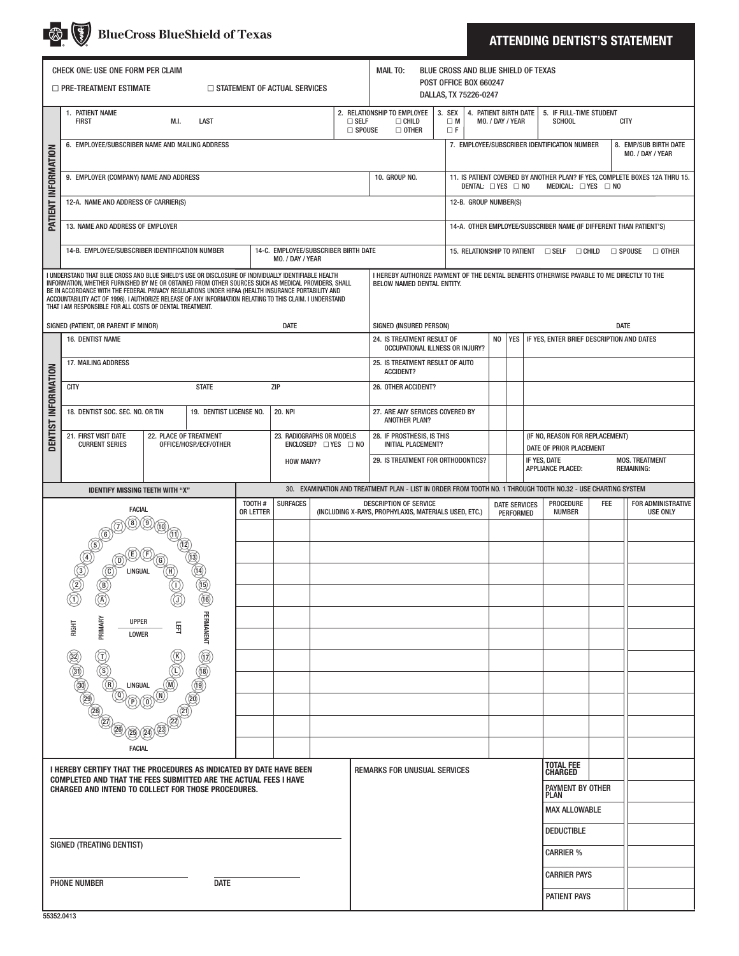|                                                                                                                                         |                                                                                                                                                                                                                                                                                                                                                                                                                                                                                             |  | <b>BlueCross BlueShield of Texas</b>                                           |                                                                                                               |                                                                                                                         |  |                                    |                                                                                                                                            |                                                          |                                       |  |                                                                                                                                    |                                                                             |                                                            |            | <b>ATTENDING DENTIST'S STATEMENT</b>         |  |
|-----------------------------------------------------------------------------------------------------------------------------------------|---------------------------------------------------------------------------------------------------------------------------------------------------------------------------------------------------------------------------------------------------------------------------------------------------------------------------------------------------------------------------------------------------------------------------------------------------------------------------------------------|--|--------------------------------------------------------------------------------|---------------------------------------------------------------------------------------------------------------|-------------------------------------------------------------------------------------------------------------------------|--|------------------------------------|--------------------------------------------------------------------------------------------------------------------------------------------|----------------------------------------------------------|---------------------------------------|--|------------------------------------------------------------------------------------------------------------------------------------|-----------------------------------------------------------------------------|------------------------------------------------------------|------------|----------------------------------------------|--|
| CHECK ONE: USE ONE FORM PER CLAIM<br>$\Box$ PRE-TREATMENT ESTIMATE<br>$\Box$ STATEMENT OF ACTUAL SERVICES                               |                                                                                                                                                                                                                                                                                                                                                                                                                                                                                             |  |                                                                                |                                                                                                               |                                                                                                                         |  |                                    | <b>MAIL TO:</b><br>BLUE CROSS AND BLUE SHIELD OF TEXAS<br>POST OFFICE BOX 660247<br>DALLAS, TX 75226-0247                                  |                                                          |                                       |  |                                                                                                                                    |                                                                             |                                                            |            |                                              |  |
|                                                                                                                                         | 1. PATIENT NAME<br><b>FIRST</b><br>M.I.<br>LAST                                                                                                                                                                                                                                                                                                                                                                                                                                             |  |                                                                                |                                                                                                               |                                                                                                                         |  | $\square$ SELF<br>$\square$ SPOUSE | 2. RELATIONSHIP TO EMPLOYEE<br>4. PATIENT BIRTH DATE<br>3. SEX<br>$\Box$ CHILD<br>$\Box$ M<br>MO. / DAY / YEAR<br>$\Box$ OTHER<br>$\Box F$ |                                                          |                                       |  |                                                                                                                                    | 5. IF FULL-TIME STUDENT<br><b>SCHOOL</b><br><b>CITY</b>                     |                                                            |            |                                              |  |
| PATIENT INFORMATION                                                                                                                     | 6. EMPLOYEE/SUBSCRIBER NAME AND MAILING ADDRESS                                                                                                                                                                                                                                                                                                                                                                                                                                             |  |                                                                                |                                                                                                               |                                                                                                                         |  |                                    |                                                                                                                                            |                                                          |                                       |  |                                                                                                                                    |                                                                             | 7. EMPLOYEE/SUBSCRIBER IDENTIFICATION NUMBER               |            | 8. EMP/SUB BIRTH DATE<br>MO. / DAY / YEAR    |  |
|                                                                                                                                         | 9. EMPLOYER (COMPANY) NAME AND ADDRESS                                                                                                                                                                                                                                                                                                                                                                                                                                                      |  |                                                                                |                                                                                                               |                                                                                                                         |  |                                    | 10. GROUP NO.                                                                                                                              |                                                          |                                       |  | 11. IS PATIENT COVERED BY ANOTHER PLAN? IF YES, COMPLETE BOXES 12A THRU 15.<br>DENTAL: □ YES □ NO<br>MEDICAL: $\Box$ YES $\Box$ NO |                                                                             |                                                            |            |                                              |  |
|                                                                                                                                         | 12-A. NAME AND ADDRESS OF CARRIER(S)                                                                                                                                                                                                                                                                                                                                                                                                                                                        |  |                                                                                |                                                                                                               |                                                                                                                         |  |                                    |                                                                                                                                            |                                                          |                                       |  | 12-B. GROUP NUMBER(S)                                                                                                              |                                                                             |                                                            |            |                                              |  |
|                                                                                                                                         | 13. NAME AND ADDRESS OF EMPLOYER                                                                                                                                                                                                                                                                                                                                                                                                                                                            |  |                                                                                |                                                                                                               |                                                                                                                         |  |                                    |                                                                                                                                            |                                                          |                                       |  |                                                                                                                                    | 14-A. OTHER EMPLOYEE/SUBSCRIBER NAME (IF DIFFERENT THAN PATIENT'S)          |                                                            |            |                                              |  |
|                                                                                                                                         | 14-B. EMPLOYEE/SUBSCRIBER IDENTIFICATION NUMBER<br>14-C. EMPLOYEE/SUBSCRIBER BIRTH DATE<br>MO. / DAY / YEAR                                                                                                                                                                                                                                                                                                                                                                                 |  |                                                                                |                                                                                                               |                                                                                                                         |  |                                    |                                                                                                                                            |                                                          |                                       |  |                                                                                                                                    | 15. RELATIONSHIP TO PATIENT □ SELF □ CHILD<br>$\Box$ Spouse<br>$\Box$ other |                                                            |            |                                              |  |
|                                                                                                                                         | I UNDERSTAND THAT BLUE CROSS AND BLUE SHIELD'S USE OR DISCLOSURE OF INDIVIDUALLY IDENTIFIABLE HEALTH<br>INFORMATION, WHETHER FURNISHED BY ME OR OBTAINED FROM OTHER SOURCES SUCH AS MEDICAL PROVIDERS, SHALL<br>BE IN ACCORDANCE WITH THE FEDERAL PRIVACY REGULATIONS UNDER HIPAA (HEALTH INSURANCE PORTABILITY AND<br>ACCOUNTABILITY ACT OF 1996). I AUTHORIZE RELEASE OF ANY INFORMATION RELATING TO THIS CLAIM. I UNDERSTAND<br>THAT I AM RESPONSIBLE FOR ALL COSTS OF DENTAL TREATMENT. |  |                                                                                |                                                                                                               | I HEREBY AUTHORIZE PAYMENT OF THE DENTAL BENEFITS OTHERWISE PAYABLE TO ME DIRECTLY TO THE<br>BELOW NAMED DENTAL ENTITY. |  |                                    |                                                                                                                                            |                                                          |                                       |  |                                                                                                                                    |                                                                             |                                                            |            |                                              |  |
|                                                                                                                                         | SIGNED (PATIENT, OR PARENT IF MINOR)<br>16. DENTIST NAME                                                                                                                                                                                                                                                                                                                                                                                                                                    |  | SIGNED (INSURED PERSON)<br>24. IS TREATMENT RESULT OF<br>N <sub>0</sub><br>YES |                                                                                                               |                                                                                                                         |  |                                    |                                                                                                                                            | <b>DATE</b><br>IF YES. ENTER BRIEF DESCRIPTION AND DATES |                                       |  |                                                                                                                                    |                                                                             |                                                            |            |                                              |  |
| DENTIST INFORMATION                                                                                                                     | <b>17. MAILING ADDRESS</b>                                                                                                                                                                                                                                                                                                                                                                                                                                                                  |  |                                                                                |                                                                                                               |                                                                                                                         |  |                                    | <b>OCCUPATIONAL ILLNESS OR INJURY?</b><br>25. IS TREATMENT RESULT OF AUTO                                                                  |                                                          |                                       |  |                                                                                                                                    |                                                                             |                                                            |            |                                              |  |
|                                                                                                                                         | <b>CITY</b><br><b>STATE</b><br><b>ZIP</b>                                                                                                                                                                                                                                                                                                                                                                                                                                                   |  |                                                                                |                                                                                                               |                                                                                                                         |  |                                    | <b>ACCIDENT?</b><br>26. OTHER ACCIDENT?                                                                                                    |                                                          |                                       |  |                                                                                                                                    |                                                                             |                                                            |            |                                              |  |
|                                                                                                                                         | 18. DENTIST SOC. SEC. NO. OR TIN<br>19. DENTIST LICENSE NO.                                                                                                                                                                                                                                                                                                                                                                                                                                 |  |                                                                                | <b>20. NPI</b>                                                                                                |                                                                                                                         |  |                                    | 27. ARE ANY SERVICES COVERED BY<br><b>ANOTHER PLAN?</b>                                                                                    |                                                          |                                       |  |                                                                                                                                    |                                                                             |                                                            |            |                                              |  |
|                                                                                                                                         | 21. FIRST VISIT DATE<br>22. PLACE OF TREATMENT<br><b>CURRENT SERIES</b><br>OFFICE/HOSP./ECF/OTHER                                                                                                                                                                                                                                                                                                                                                                                           |  |                                                                                | 23. RADIOGRAPHS OR MODELS<br>$ENCLOSED?$ $\square$ YES $\square$ NO<br><b>HOW MANY?</b>                       |                                                                                                                         |  |                                    | 28. IF PROSTHESIS, IS THIS<br><b>INITIAL PLACEMENT?</b><br>29. IS TREATMENT FOR ORTHODONTICS?                                              |                                                          |                                       |  |                                                                                                                                    |                                                                             | (IF NO, REASON FOR REPLACEMENT)<br>DATE OF PRIOR PLACEMENT |            |                                              |  |
|                                                                                                                                         |                                                                                                                                                                                                                                                                                                                                                                                                                                                                                             |  |                                                                                |                                                                                                               |                                                                                                                         |  |                                    |                                                                                                                                            |                                                          |                                       |  |                                                                                                                                    |                                                                             | IF YES, DATE<br>APPLIANCE PLACED:                          |            | <b>MOS. TREATMENT</b><br><b>REMAINING:</b>   |  |
|                                                                                                                                         | <b>IDENTIFY MISSING TEETH WITH "X"</b>                                                                                                                                                                                                                                                                                                                                                                                                                                                      |  |                                                                                | 30. EXAMINATION AND TREATMENT PLAN - LIST IN ORDER FROM TOOTH NO. 1 THROUGH TOOTH NO.32 - USE CHARTING SYSTEM |                                                                                                                         |  |                                    |                                                                                                                                            |                                                          |                                       |  |                                                                                                                                    |                                                                             |                                                            |            |                                              |  |
|                                                                                                                                         | TOOTH#<br><b>FACIAL</b><br>OR LETTER<br>(8) (O                                                                                                                                                                                                                                                                                                                                                                                                                                              |  |                                                                                |                                                                                                               | <b>SURFACES</b>                                                                                                         |  |                                    | <b>DESCRIPTION OF SERVICE</b><br>(INCLUDING X-RAYS, PROPHYLAXIS, MATERIALS USED, ETC.)                                                     |                                                          |                                       |  | <b>DATE SERVICES</b><br><b>PERFORMED</b>                                                                                           |                                                                             | PROCEDURE<br><b>NUMBER</b>                                 | <b>FEE</b> | <b>FOR ADMINISTRATIVE</b><br><b>USE ONLY</b> |  |
|                                                                                                                                         |                                                                                                                                                                                                                                                                                                                                                                                                                                                                                             |  |                                                                                |                                                                                                               |                                                                                                                         |  |                                    |                                                                                                                                            |                                                          |                                       |  |                                                                                                                                    |                                                                             |                                                            |            |                                              |  |
|                                                                                                                                         | O <sup>O O</sup> O<br>$\overrightarrow{\mathbb{G}}$<br>Ö<br>LINGUAL                                                                                                                                                                                                                                                                                                                                                                                                                         |  |                                                                                |                                                                                                               |                                                                                                                         |  |                                    |                                                                                                                                            |                                                          |                                       |  |                                                                                                                                    |                                                                             |                                                            |            |                                              |  |
| Ó<br>$\textcircled{\tiny H}$<br>愈<br>B<br>B<br>٥                                                                                        |                                                                                                                                                                                                                                                                                                                                                                                                                                                                                             |  |                                                                                |                                                                                                               |                                                                                                                         |  |                                    |                                                                                                                                            |                                                          |                                       |  |                                                                                                                                    |                                                                             |                                                            |            |                                              |  |
|                                                                                                                                         | PRIMARY<br><b>UPPER</b><br>RIGHT                                                                                                                                                                                                                                                                                                                                                                                                                                                            |  |                                                                                |                                                                                                               |                                                                                                                         |  |                                    |                                                                                                                                            |                                                          |                                       |  |                                                                                                                                    |                                                                             |                                                            |            |                                              |  |
|                                                                                                                                         | PERMANENT<br>日<br><b>LOWER</b><br>$\begin{pmatrix} 1 \\ 0 \\ 0 \\ 0 \end{pmatrix}$<br>$\begin{picture}(40,40) \put(0,0){\line(1,0){155}} \put(0,0){\line(1,0){155}} \put(0,0){\line(1,0){155}} \put(0,0){\line(1,0){155}} \put(0,0){\line(1,0){155}} \put(0,0){\line(1,0){155}} \put(0,0){\line(1,0){155}} \put(0,0){\line(1,0){155}} \put(0,0){\line(1,0){155}} \put(0,0){\line(1,0){155}} \put(0,0){\line(1,0){155}} \put(0,0){\line(1$<br>(1)<br>(1)<br>(1)<br>(1)                       |  |                                                                                |                                                                                                               |                                                                                                                         |  |                                    |                                                                                                                                            |                                                          |                                       |  |                                                                                                                                    |                                                                             |                                                            |            |                                              |  |
|                                                                                                                                         |                                                                                                                                                                                                                                                                                                                                                                                                                                                                                             |  |                                                                                |                                                                                                               |                                                                                                                         |  |                                    |                                                                                                                                            |                                                          |                                       |  |                                                                                                                                    |                                                                             |                                                            |            |                                              |  |
|                                                                                                                                         | LINGUAL<br>۵                                                                                                                                                                                                                                                                                                                                                                                                                                                                                |  |                                                                                |                                                                                                               |                                                                                                                         |  |                                    |                                                                                                                                            |                                                          |                                       |  |                                                                                                                                    |                                                                             |                                                            |            |                                              |  |
|                                                                                                                                         |                                                                                                                                                                                                                                                                                                                                                                                                                                                                                             |  |                                                                                |                                                                                                               |                                                                                                                         |  |                                    |                                                                                                                                            |                                                          |                                       |  |                                                                                                                                    |                                                                             |                                                            |            |                                              |  |
| <b>FACIAL</b>                                                                                                                           |                                                                                                                                                                                                                                                                                                                                                                                                                                                                                             |  |                                                                                |                                                                                                               |                                                                                                                         |  |                                    |                                                                                                                                            |                                                          |                                       |  |                                                                                                                                    |                                                                             |                                                            |            |                                              |  |
| I HEREBY CERTIFY THAT THE PROCEDURES AS INDICATED BY DATE HAVE BEEN<br>COMPLETED AND THAT THE FEES SUBMITTED ARE THE ACTUAL FEES I HAVE |                                                                                                                                                                                                                                                                                                                                                                                                                                                                                             |  |                                                                                |                                                                                                               |                                                                                                                         |  |                                    | REMARKS FOR UNUSUAL SERVICES                                                                                                               |                                                          |                                       |  |                                                                                                                                    |                                                                             | <b>TOTAL FEE</b><br>CHARGED                                |            |                                              |  |
|                                                                                                                                         | <b>CHARGED AND INTEND TO COLLECT FOR THOSE PROCEDURES.</b>                                                                                                                                                                                                                                                                                                                                                                                                                                  |  |                                                                                |                                                                                                               |                                                                                                                         |  |                                    |                                                                                                                                            | PAYMENT BY OTHER<br><b>PLAN</b>                          |                                       |  |                                                                                                                                    |                                                                             |                                                            |            |                                              |  |
|                                                                                                                                         |                                                                                                                                                                                                                                                                                                                                                                                                                                                                                             |  |                                                                                |                                                                                                               |                                                                                                                         |  |                                    |                                                                                                                                            |                                                          | <b>MAX ALLOWABLE</b>                  |  |                                                                                                                                    |                                                                             |                                                            |            |                                              |  |
|                                                                                                                                         | SIGNED (TREATING DENTIST)                                                                                                                                                                                                                                                                                                                                                                                                                                                                   |  |                                                                                |                                                                                                               |                                                                                                                         |  |                                    |                                                                                                                                            |                                                          | <b>DEDUCTIBLE</b><br><b>CARRIER %</b> |  |                                                                                                                                    |                                                                             |                                                            |            |                                              |  |
|                                                                                                                                         |                                                                                                                                                                                                                                                                                                                                                                                                                                                                                             |  |                                                                                |                                                                                                               |                                                                                                                         |  |                                    |                                                                                                                                            |                                                          | <b>CARRIER PAYS</b>                   |  |                                                                                                                                    |                                                                             |                                                            |            |                                              |  |
|                                                                                                                                         | PHONE NUMBER                                                                                                                                                                                                                                                                                                                                                                                                                                                                                |  |                                                                                |                                                                                                               |                                                                                                                         |  |                                    |                                                                                                                                            | PATIENT PAYS                                             |                                       |  |                                                                                                                                    |                                                                             |                                                            |            |                                              |  |